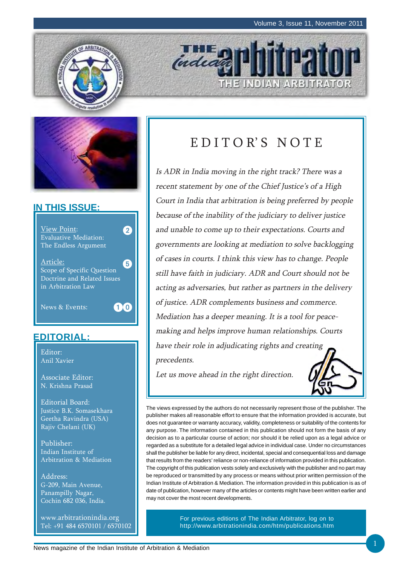THE INDIAN ARBITRATOR





### **IN THIS ISSUE:**



## **EDITORIAL:**

Editor: Anil Xavier

Associate Editor: N. Krishna Prasad

Editorial Board: Justice B.K. Somasekhara Geetha Ravindra (USA) Rajiv Chelani (UK)

Publisher: Indian Institute of Arbitration & Mediation

Address: G-209, Main Avenue, Panampilly Nagar, Cochin 682 036, India.

www.arbitrationindia.org Tel: +91 484 6570101 / 6570102

## EDITOR'S NOTE

**THE O** 

Is ADR in India moving in the right track? There was a recent statement by one of the Chief Justice's of a High Court in India that arbitration is being preferred by people because of the inability of the judiciary to deliver justice and unable to come up to their expectations. Courts and governments are looking at mediation to solve backlogging of cases in courts. I think this view has to change. People still have faith in judiciary. ADR and Court should not be acting as adversaries, but rather as partners in the delivery of justice. ADR complements business and commerce. Mediation has a deeper meaning. It is a tool for peacemaking and helps improve human relationships. Courts have their role in adjudicating rights and creating precedents.

Let us move ahead in the right direction.



The views expressed by the authors do not necessarily represent those of the publisher. The publisher makes all reasonable effort to ensure that the information provided is accurate, but does not guarantee or warranty accuracy, validity, completeness or suitability of the contents for any purpose. The information contained in this publication should not form the basis of any decision as to a particular course of action; nor should it be relied upon as a legal advice or regarded as a substitute for a detailed legal advice in individual case. Under no circumstances shall the publisher be liable for any direct, incidental, special and consequential loss and damage that results from the readers' reliance or non-reliance of information provided in this publication. The copyright of this publication vests solely and exclusively with the publisher and no part may be reproduced or transmitted by any process or means without prior written permission of the Indian Institute of Arbitration & Mediation. The information provided in this publication is as of date of publication, however many of the articles or contents might have been written earlier and may not cover the most recent developments.

> For previous editions of The Indian Arbitrator, log on to http://www.arbitrationindia.com/htm/publications.htm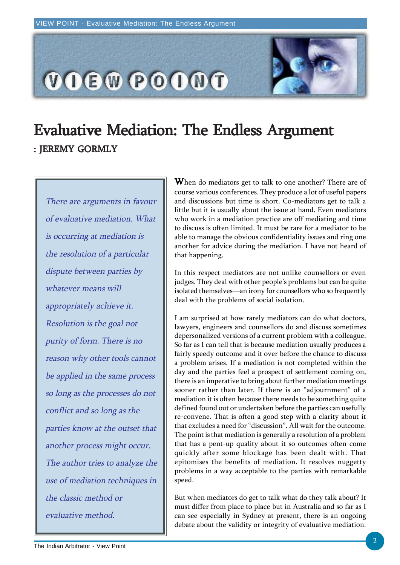

# Evaluative Mediation: The Endless Argument : JEREMY GORMLY

There are arguments in favour of evaluative mediation. What is occurring at mediation is the resolution of a particular dispute between parties by whatever means will appropriately achieve it. Resolution is the goal not purity of form. There is no reason why other tools cannot be applied in the same process so long as the processes do not conflict and so long as the parties know at the outset that another process might occur. The author tries to analyze the use of mediation techniques in the classic method or evaluative method.

 $W$ hen do mediators get to talk to one another? There are of course various conferences. They produce a lot of useful papers and discussions but time is short. Co-mediators get to talk a little but it is usually about the issue at hand. Even mediators who work in a mediation practice are off mediating and time to discuss is often limited. It must be rare for a mediator to be able to manage the obvious confidentiality issues and ring one another for advice during the mediation. I have not heard of that happening.

In this respect mediators are not unlike counsellors or even judges. They deal with other people's problems but can be quite isolated themselves—an irony for counsellors who so frequently deal with the problems of social isolation.

I am surprised at how rarely mediators can do what doctors, lawyers, engineers and counsellors do and discuss sometimes depersonalized versions of a current problem with a colleague. So far as I can tell that is because mediation usually produces a fairly speedy outcome and it over before the chance to discuss a problem arises. If a mediation is not completed within the day and the parties feel a prospect of settlement coming on, there is an imperative to bring about further mediation meetings sooner rather than later. If there is an "adjournment" of a mediation it is often because there needs to be something quite defined found out or undertaken before the parties can usefully re-convene. That is often a good step with a clarity about it that excludes a need for "discussion". All wait for the outcome. The point is that mediation is generally a resolution of a problem that has a pent-up quality about it so outcomes often come quickly after some blockage has been dealt with. That epitomises the benefits of mediation. It resolves nuggetty problems in a way acceptable to the parties with remarkable speed.

But when mediators do get to talk what do they talk about? It must differ from place to place but in Australia and so far as I can see especially in Sydney at present, there is an ongoing debate about the validity or integrity of evaluative mediation.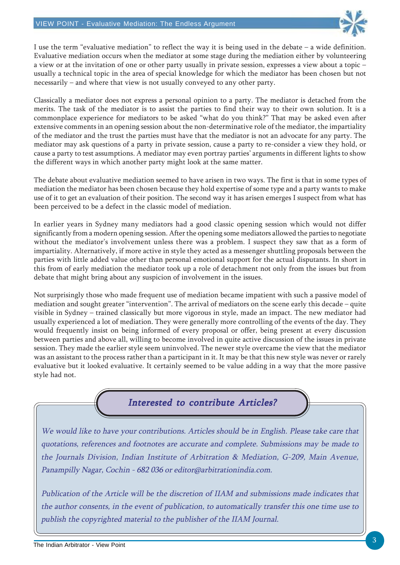

I use the term "evaluative mediation" to reflect the way it is being used in the debate  $-$  a wide definition. Evaluative mediation occurs when the mediator at some stage during the mediation either by volunteering a view or at the invitation of one or other party usually in private session, expresses a view about a topic – usually a technical topic in the area of special knowledge for which the mediator has been chosen but not necessarily – and where that view is not usually conveyed to any other party.

Classically a mediator does not express a personal opinion to a party. The mediator is detached from the merits. The task of the mediator is to assist the parties to find their way to their own solution. It is a commonplace experience for mediators to be asked "what do you think?" That may be asked even after extensive comments in an opening session about the non-determinative role of the mediator, the impartiality of the mediator and the trust the parties must have that the mediator is not an advocate for any party. The mediator may ask questions of a party in private session, cause a party to re-consider a view they hold, or cause a party to test assumptions. A mediator may even portray parties' arguments in different lights to show the different ways in which another party might look at the same matter.

The debate about evaluative mediation seemed to have arisen in two ways. The first is that in some types of mediation the mediator has been chosen because they hold expertise of some type and a party wants to make use of it to get an evaluation of their position. The second way it has arisen emerges I suspect from what has been perceived to be a defect in the classic model of mediation.

In earlier years in Sydney many mediators had a good classic opening session which would not differ significantly from a modern opening session. After the opening some mediators allowed the parties to negotiate without the mediator's involvement unless there was a problem. I suspect they saw that as a form of impartiality. Alternatively, if more active in style they acted as a messenger shuttling proposals between the parties with little added value other than personal emotional support for the actual disputants. In short in this from of early mediation the mediator took up a role of detachment not only from the issues but from debate that might bring about any suspicion of involvement in the issues.

Not surprisingly those who made frequent use of mediation became impatient with such a passive model of mediation and sought greater "intervention". The arrival of mediators on the scene early this decade – quite visible in Sydney – trained classically but more vigorous in style, made an impact. The new mediator had usually experienced a lot of mediation. They were generally more controlling of the events of the day. They would frequently insist on being informed of every proposal or offer, being present at every discussion between parties and above all, willing to become involved in quite active discussion of the issues in private session. They made the earlier style seem uninvolved. The newer style overcame the view that the mediator was an assistant to the process rather than a participant in it. It may be that this new style was never or rarely evaluative but it looked evaluative. It certainly seemed to be value adding in a way that the more passive style had not.

## Interested to contribute Articles?

We would like to have your contributions. Articles should be in English. Please take care that quotations, references and footnotes are accurate and complete. Submissions may be made to the Journals Division, Indian Institute of Arbitration & Mediation, G-209, Main Avenue, Panampilly Nagar, Cochin - 682 036 or editor@arbitrationindia.com.

Publication of the Article will be the discretion of IIAM and submissions made indicates that the author consents, in the event of publication, to automatically transfer this one time use to publish the copyrighted material to the publisher of the IIAM Journal.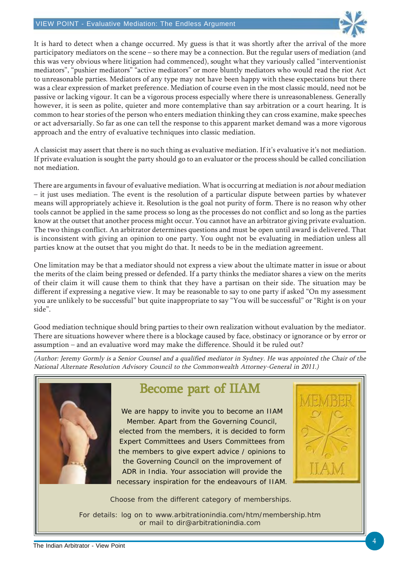

It is hard to detect when a change occurred. My guess is that it was shortly after the arrival of the more participatory mediators on the scene – so there may be a connection. But the regular users of mediation (and this was very obvious where litigation had commenced), sought what they variously called "interventionist mediators", "pushier mediators" "active mediators" or more bluntly mediators who would read the riot Act to unreasonable parties. Mediators of any type may not have been happy with these expectations but there was a clear expression of market preference. Mediation of course even in the most classic mould, need not be passive or lacking vigour. It can be a vigorous process especially where there is unreasonableness. Generally however, it is seen as polite, quieter and more contemplative than say arbitration or a court hearing. It is common to hear stories of the person who enters mediation thinking they can cross examine, make speeches or act adversarially. So far as one can tell the response to this apparent market demand was a more vigorous approach and the entry of evaluative techniques into classic mediation.

A classicist may assert that there is no such thing as evaluative mediation. If it's evaluative it's not mediation. If private evaluation is sought the party should go to an evaluator or the process should be called conciliation not mediation.

There are arguments in favour of evaluative mediation. What is occurring at mediation is not about mediation – it just uses mediation. The event is the resolution of a particular dispute between parties by whatever means will appropriately achieve it. Resolution is the goal not purity of form. There is no reason why other tools cannot be applied in the same process so long as the processes do not conflict and so long as the parties know at the outset that another process might occur. You cannot have an arbitrator giving private evaluation. The two things conflict. An arbitrator determines questions and must be open until award is delivered. That is inconsistent with giving an opinion to one party. You ought not be evaluating in mediation unless all parties know at the outset that you might do that. It needs to be in the mediation agreement.

One limitation may be that a mediator should not express a view about the ultimate matter in issue or about the merits of the claim being pressed or defended. If a party thinks the mediator shares a view on the merits of their claim it will cause them to think that they have a partisan on their side. The situation may be different if expressing a negative view. It may be reasonable to say to one party if asked "On my assessment you are unlikely to be successful" but quite inappropriate to say "You will be successful" or "Right is on your side".

Good mediation technique should bring parties to their own realization without evaluation by the mediator. There are situations however where there is a blockage caused by face, obstinacy or ignorance or by error or assumption – and an evaluative word may make the difference. Should it be ruled out?

(Author: Jeremy Gormly is a Senior Counsel and a qualified mediator in Sydney. He was appointed the Chair of the National Alternate Resolution Advisory Council to the Commonwealth Attorney-General in 2011.)



## Become part of IIAM

We are happy to invite you to become an IIAM Member. Apart from the Governing Council, elected from the members, it is decided to form Expert Committees and Users Committees from the members to give expert advice / opinions to the Governing Council on the improvement of ADR in India. Your association will provide the necessary inspiration for the endeavours of IIAM.



Choose from the different category of memberships.

For details: log on to www.arbitrationindia.com/htm/membership.htm or mail to dir@arbitrationindia.com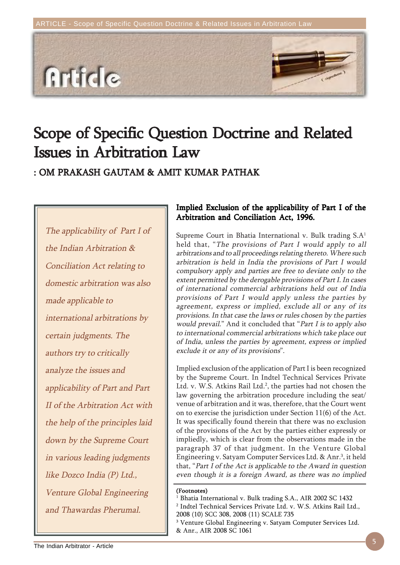

# Scope of Specific Question Doctrine and Related **Issues in Arbitration Law**

### : OM PRAKASH GAUTAM & AMIT KUMAR PATHAK

The applicability of Part I of the Indian Arbitration & Conciliation Act relating to domestic arbitration was also made applicable to international arbitrations by certain judgments. The authors try to critically analyze the issues and applicability of Part and Part II of the Arbitration Act with the help of the principles laid down by the Supreme Court in various leading judgments like Dozco India (P) Ltd., Venture Global Engineering and Thawardas Pherumal.

### Implied Exclusion of the applicability of Part I of the Arbitration and Conciliation Act, 1996.

Supreme Court in Bhatia International v. Bulk trading  $S.A<sup>1</sup>$ held that, "The provisions of Part I would apply to all arbitrations and to all proceedings relating thereto. Where such arbitration is held in India the provisions of Part I would compulsory apply and parties are free to deviate only to the extent permitted by the derogable provisions of Part I. In cases of international commercial arbitrations held out of India provisions of Part I would apply unless the parties by agreement, express or implied, exclude all or any of its provisions. In that case the laws or rules chosen by the parties would prevail." And it concluded that "Part I is to apply also to international commercial arbitrations which take place out of India, unless the parties by agreement, express or implied exclude it or any of its provisions".

Implied exclusion of the application of Part I is been recognized by the Supreme Court. In Indtel Technical Services Private Ltd. v. W.S. Atkins Rail Ltd.<sup>2</sup>, the parties had not chosen the law governing the arbitration procedure including the seat/ venue of arbitration and it was, therefore, that the Court went on to exercise the jurisdiction under Section 11(6) of the Act. It was specifically found therein that there was no exclusion of the provisions of the Act by the parties either expressly or impliedly, which is clear from the observations made in the paragraph 37 of that judgment. In the Venture Global Engineering v. Satyam Computer Services Ltd. & Anr.<sup>3</sup>, it held that, "Part I of the Act is applicable to the Award in question even though it is a foreign Award, as there was no implied

#### (Footnotes)

1 Bhatia International v. Bulk trading S.A., AIR 2002 SC 1432 2 Indtel Technical Services Private Ltd. v. W.S. Atkins Rail Ltd., 2008 (10) SCC 308, 2008 (11) SCALE 735

3 Venture Global Engineering v. Satyam Computer Services Ltd.

& Anr., AIR 2008 SC 1061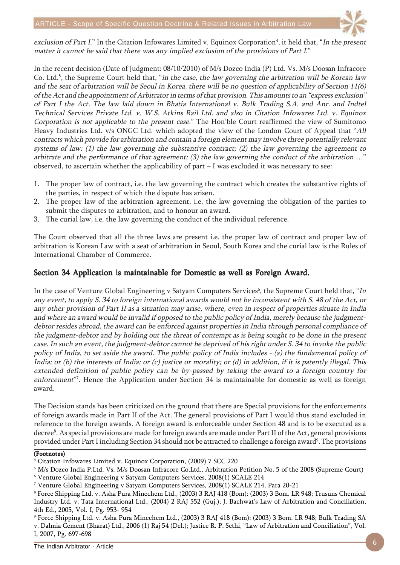

exclusion of Part I." In the Citation Infowares Limited v. Equinox Corporation<sup>4</sup>, it held that, "*In the present* matter it cannot be said that there was any implied exclusion of the provisions of Part I."

In the recent decision (Date of Judgment: 08/10/2010) of M/s Dozco India (P) Ltd. Vs. M/s Doosan Infracore Co. Ltd.<sup>5</sup>, the Supreme Court held that, "*in the case, the law governing the arbitration will be Korean law* and the seat of arbitration will be Seoul in Korea, there will be no question of applicability of Section 11(6) of the Act and the appointment of Arbitrator in terms of that provision. This amounts to an "express exclusion" of Part I the Act. The law laid down in Bhatia International v. Bulk Trading S.A. and Anr. and Indtel Technical Services Private Ltd. v. W.S. Atkins Rail Ltd. and also in Citation Infowares Ltd. v. Equinox Corporation is not applicable to the present case." The Hon'ble Court reaffirmed the view of Sumitomo Heavy Industries Ltd. v/s ONGC Ltd. which adopted the view of the London Court of Appeal that "All contracts which provide for arbitration and contain a foreign element may involve three potentially relevant systems of law: (1) the law governing the substantive contract; (2) the law governing the agreement to arbitrate and the performance of that agreement; (3) the law governing the conduct of the arbitration ...' observed, to ascertain whether the applicability of part – I was excluded it was necessary to see:

- 1. The proper law of contract, i.e. the law governing the contract which creates the substantive rights of the parties, in respect of which the dispute has arisen.
- 2. The proper law of the arbitration agreement, i.e. the law governing the obligation of the parties to submit the disputes to arbitration, and to honour an award.
- 3. The curial law, i.e. the law governing the conduct of the individual reference.

The Court observed that all the three laws are present i.e. the proper law of contract and proper law of arbitration is Korean Law with a seat of arbitration in Seoul, South Korea and the curial law is the Rules of International Chamber of Commerce.

### Section 34 Application is maintainable for Domestic as well as Foreign Award.

In the case of Venture Global Engineering v Satyam Computers Services<sup>6</sup>, the Supreme Court held that, "*In* any event, to apply S. 34 to foreign international awards would not be inconsistent with S. 48 of the Act, or any other provision of Part II as a situation may arise, where, even in respect of properties situate in India and where an award would be invalid if opposed to the public policy of India, merely because the judgmentdebtor resides abroad, the award can be enforced against properties in India through personal compliance of the judgment-debtor and by holding out the threat of contempt as is being sought to be done in the present case. In such an event, the judgment-debtor cannot be deprived of his right under S. 34 to invoke the public policy of India, to set aside the award. The public policy of India includes - (a) the fundamental policy of India; or (b) the interests of India; or (c) justice or morality; or (d) in addition, if it is patently illegal. This extended definition of public policy can be by-passed by taking the award to a foreign country for enforcement"<sup>7</sup>. Hence the Application under Section 34 is maintainable for domestic as well as foreign award.

The Decision stands has been criticized on the ground that there are Special provisions for the enforcements of foreign awards made in Part II of the Act. The general provisions of Part I would thus stand excluded in reference to the foreign awards. A foreign award is enforceable under Section 48 and is to be executed as a decree<sup>8</sup>. As special provisions are made for foreign awards are made under Part II of the Act, general provisions provided under Part I including Section 34 should not be attracted to challenge a foreign award<sup>9</sup>. The provisions

#### (Footnotes)

9 Force Shipping Ltd. v. Asha Pura Minechem Ltd., (2003) 3 RAJ 418 (Bom): (2003) 3 Bom. LR 948; Bulk Trading SA v. Dalmia Cement (Bharat) Ltd., 2006 (1) Raj 54 (Del.); Justice R. P. Sethi, "Law of Arbitration and Conciliation", Vol. I, 2007, Pg. 697-698

<sup>4</sup> Citation Infowares Limited v. Equinox Corporation, (2009) 7 SCC 220

 $^5$  M/s Dozco India P.Ltd. Vs. M/s Doosan Infracore Co.Ltd., Arbitration Petition No. 5 of the 2008 (Supreme Court)

<sup>6</sup> Venture Global Engineering v Satyam Computers Services, 2008(1) SCALE 214

<sup>7</sup> Venture Global Engineering v Satyam Computers Services, 2008(1) SCALE 214, Para 20-21

<sup>8</sup> Force Shipping Ltd. v. Asha Pura Minechem Ltd., (2003) 3 RAJ 418 (Bom): (2003) 3 Bom. LR 948; Trusuns Chemical Industry Ltd. v. Tata International Ltd., (2004) 2 RAJ 552 (Guj.); J. Bachwat's Law of Arbitration and Conciliation, 4th Ed., 2005, Vol. I, Pg. 953- 954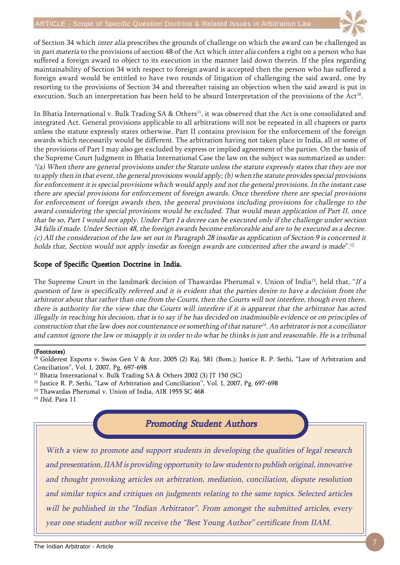

of Section 34 which inter alia prescribes the grounds of challenge on which the award can be challenged as in pari materia to the provisions of section 48 of the Act which inter alia confers a right on a person who has suffered a foreign award to object to its execution in the manner laid down therein. If the plea regarding maintainability of Section 34 with respect to foreign award is accepted then the person who has suffered a foreign award would be entitled to have two rounds of litigation of challenging the said award, one by resorting to the provisions of Section 34 and thereafter raising an objection when the said award is put in execution. Such an interpretation has been held to be absurd Interpretation of the provisions of the Act<sup>10</sup>.

In Bhatia International v. Bulk Trading SA & Others<sup>11</sup>, it was observed that the Act is one consolidated and integrated Act. General provisions applicable to all arbitrations will not be repeated in all chapters or parts unless the statute expressly states otherwise. Part II contains provision for the enforcement of the foreign awards which necessarily would be different. The arbitration having not taken place in India, all or some of the provisions of Part I may also get excluded by express or implied agreement of the parties. On the basis of the Supreme Court Judgment in Bhatia International Case the law on the subject was summarized as under: "(a) When there are general provisions under the Statute unless the statute expressly states that they are not to apply then in that event, the general provisions would apply; (b) when the statute provides special provisions for enforcement it is special provisions which would apply and not the general provisions. In the instant case there are special provisions for enforcement of foreign awards. Once therefore there are special provisions for enforcement of foreign awards then, the general provisions including provisions for challenge to the award considering the special provisions would be excluded. That would mean application of Part II, once that be so, Part I would not apply. Under Part I a decree can be executed only if the challenge under section 34 falls if made. Under Section 48, the foreign awards become enforceable and are to be executed as a decree. (c) All the consideration of the law set out in Paragraph 28 insofar as application of Section 9 is concerned it holds that, Section would not apply insofar as foreign awards are concerned after the award is made".<sup>12</sup>

#### Scope of Specific Question Doctrine in India.

The Supreme Court in the landmark decision of Thawardas Pherumal v. Union of India<sup>13</sup>, held that, "If a question of law is specifically referred and it is evident that the parties desire to have a decision from the arbitrator about that rather than one from the Courts, then the Courts will not interfere, though even there, there is authority for the view that the Courts will interfere if it is apparent that the arbitrator has acted illegally in reaching his decision, that is to say if he has decided on inadmissible evidence or on principles of construction that the law does not countenance or something of that nature<sup>14</sup>. An arbitrator is not a conciliator and cannot ignore the law or misapply it in order to do what be thinks is just and reasonable. He is a tribunal

#### (Footnotes)

<sup>10</sup> Golderest Exports v. Swiss Gen V & Anr, 2005 (2) Raj. 581 (Bom.); Justice R. P. Sethi, "Law of Arbitration and Conciliation", Vol. I, 2007, Pg. 697-698

<sup>11</sup> Bhatia International v. Bulk Trading SA & Others 2002 (3) JT 150 (SC)

<sup>12</sup> Justice R. P. Sethi, "Law of Arbitration and Conciliation", Vol. I, 2007, Pg. 697-698

<sup>13</sup> Thawardas Pherumal v. Union of India, AIR 1955 SC 468

**Promoting Student Authors** 

With a view to promote and support students in developing the qualities of legal research and presentation, IIAM is providing opportunity to law students to publish original, innovative and thought provoking articles on arbitration, mediation, conciliation, dispute resolution and similar topics and critiques on judgments relating to the same topics. Selected articles will be published in the "Indian Arbitrator". From amongst the submitted articles, every year one student author will receive the "Best Young Author" certificate from IIAM.

<sup>&</sup>lt;sup>14</sup> Ibid, Para 11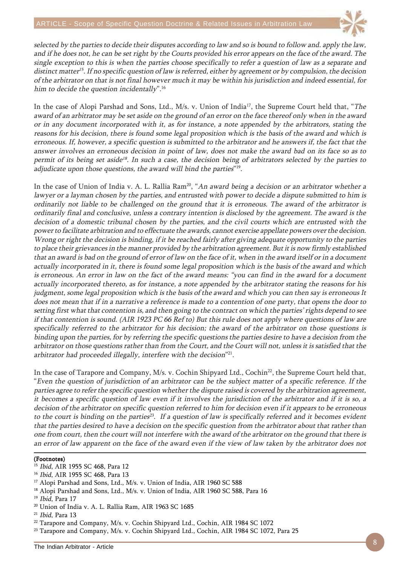

selected by the parties to decide their disputes according to law and so is bound to follow and. apply the law, and if he does not, he can be set right by the Courts provided his error appears on the face of the award. The single exception to this is when the parties choose specifically to refer a question of law as a separate and distinct matter<sup>15</sup>. If no specific question of law is referred, either by agreement or by compulsion, the decision of the arbitrator on that is not final however much it may be within his jurisdiction and indeed essential, for him to decide the question incidentally".<sup>16</sup>

In the case of Alopi Parshad and Sons, Ltd., M/s. v. Union of India<sup>17</sup>, the Supreme Court held that, "The award of an arbitrator may be set aside on the ground of an error on the face thereof only when in the award or in any document incorporated with it, as for instance, a note appended by the arbitrators, stating the reasons for his decision, there is found some legal proposition which is the basis of the award and which is erroneous. If, however, a specific question is submitted to the arbitrator and he answers if, the fact that the answer involves an erroneous decision in point of law, does not make the award bad on its face so as to permit of its being set aside<sup>18</sup>. In such a case, the decision being of arbitrators selected by the parties to adjudicate upon those questions, the award will bind the parties"<sup>19</sup>.

In the case of Union of India v. A. L. Rallia Ram<sup>20</sup>, "An award being a decision or an arbitrator whether a lawyer or a layman chosen by the parties, and entrusted with power to decide a dispute submitted to him is ordinarily not liable to be challenged on the ground that it is erroneous. The award of the arbitrator is ordinarily final and conclusive, unless a contrary intention is disclosed by the agreement. The award is the decision of a domestic tribunal chosen by the parties, and the civil courts which are entrusted with the power to facilitate arbitration and to effectuate the awards, cannot exercise appellate powers over the decision. Wrong or right the decision is binding, if it be reached fairly after giving adequate opportunity to the parties to place their grievances in the manner provided by the arbitration agreement. But it is now firmly established that an award is bad on the ground of error of law on the face of it, when in the award itself or in a document actually incorporated in it, there is found some legal proposition which is the basis of the award and which is erroneous. An error in law on the fact of the award means: "you can find in the award for a document actually incorporated thereto, as for instance, a note appended by the arbitrator stating the reasons for his judgment, some legal proposition which is the basis of the award and which you can then say is erroneous It does not mean that if in a narrative a reference is made to a contention of one party, that opens the door to setting first what that contention is, and then going to the contract on which the parties' rights depend to see if that contention is sound. (AIR 1923 PC 66 Ref to) But this rule does not apply where questions of law are specifically referred to the arbitrator for his decision; the award of the arbitrator on those questions is binding upon the parties, for by referring the specific questions the parties desire to have a decision from the arbitrator on those questions rather than from the Court, and the Court will not, unless it is satisfied that the arbitrator had proceeded illegally, interfere with the decision"<sup>21</sup>.

In the case of Tarapore and Company, M/s. v. Cochin Shipyard Ltd., Cochin<sup>22</sup>, the Supreme Court held that, "Even the question of jurisdiction of an arbitrator can be the subject matter of a specific reference. If the parties agree to refer the specific question whether the dispute raised is covered by the arbitration agreement, it becomes a specific question of law even if it involves the jurisdiction of the arbitrator and if it is so, a decision of the arbitrator on specific question referred to him for decision even if it appears to be erroneous to the court is binding on the parties<sup>23</sup>. If a question of law is specifically referred and it becomes evident that the parties desired to have a decision on the specific question from the arbitrator about that rather than one from court, then the court will not interfere with the award of the arbitrator on the ground that there is an error of law apparent on the face of the award even if the view of law taken by the arbitrator does not

#### (Footnotes)

- <sup>15</sup> Ibid, AIR 1955 SC 468, Para 12
- <sup>16</sup> Ibid, AIR 1955 SC 468, Para 13
- <sup>17</sup> Alopi Parshad and Sons, Ltd., M/s. v. Union of India, AIR 1960 SC 588
- <sup>18</sup> Alopi Parshad and Sons, Ltd., M/s. v. Union of India, AIR 1960 SC 588, Para 16
- <sup>19</sup> Ibid, Para 17
- 20 Union of India v. A. L. Rallia Ram, AIR 1963 SC 1685
- $21$  Ibid, Para 13
- $^{22}$  Tarapore and Company, M/s. v. Cochin Shipyard Ltd., Cochin, AIR 1984 SC 1072
- <sup>23</sup> Tarapore and Company, M/s. v. Cochin Shipyard Ltd., Cochin, AIR 1984 SC 1072, Para 25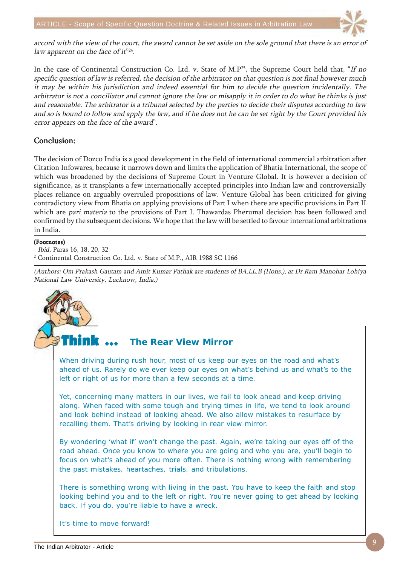

accord with the view of the court, the award cannot be set aside on the sole ground that there is an error of law apparent on the face of it"<sup>24</sup>.

In the case of Continental Construction Co. Ltd. v. State of M.P<sup>25</sup>, the Supreme Court held that, "If no specific question of law is referred, the decision of the arbitrator on that question is not final however much it may be within his jurisdiction and indeed essential for him to decide the question incidentally. The arbitrator is not a conciliator and cannot ignore the law or misapply it in order to do what he thinks is just and reasonable. The arbitrator is a tribunal selected by the parties to decide their disputes according to law and so is bound to follow and apply the law, and if he does not he can be set right by the Court provided his error appears on the face of the award".

#### Conclusion: Conclusion:

The decision of Dozco India is a good development in the field of international commercial arbitration after Citation Infowares, because it narrows down and limits the application of Bhatia International, the scope of which was broadened by the decisions of Supreme Court in Venture Global. It is however a decision of significance, as it transplants a few internationally accepted principles into Indian law and controversially places reliance on arguably overruled propositions of law. Venture Global has been criticized for giving contradictory view from Bhatia on applying provisions of Part I when there are specific provisions in Part II which are *pari materia* to the provisions of Part I. Thawardas Pherumal decision has been followed and confirmed by the subsequent decisions. We hope that the law will be settled to favour international arbitrations in India.

#### (Footnotes)

Ibid, Paras 16, 18, 20, 32

2 Continental Construction Co. Ltd. v. State of M.P., AIR 1988 SC 1166

(Authors: Om Prakash Gautam and Amit Kumar Pathak are students of BA.LL.B (Hons.), at Dr Ram Manohar Lohiya National Law University, Lucknow, India.)

#### Think  $\,\cdots\,$ **The Rear View Mirror**

When driving during rush hour, most of us keep our eyes on the road and what's ahead of us. Rarely do we ever keep our eyes on what's behind us and what's to the left or right of us for more than a few seconds at a time.

Yet, concerning many matters in our lives, we fail to look ahead and keep driving along. When faced with some tough and trying times in life, we tend to look around and look behind instead of looking ahead. We also allow mistakes to resurface by recalling them. That's driving by looking in rear view mirror.

By wondering 'what if' won't change the past. Again, we're taking our eyes off of the road ahead. Once you know to where you are going and who you are, you'll begin to focus on what's ahead of you more often. There is nothing wrong with remembering the past mistakes, heartaches, trials, and tribulations.

There is something wrong with living in the past. You have to keep the faith and stop looking behind you and to the left or right. You're never going to get ahead by looking back. If you do, you're liable to have a wreck.

It's time to move forward!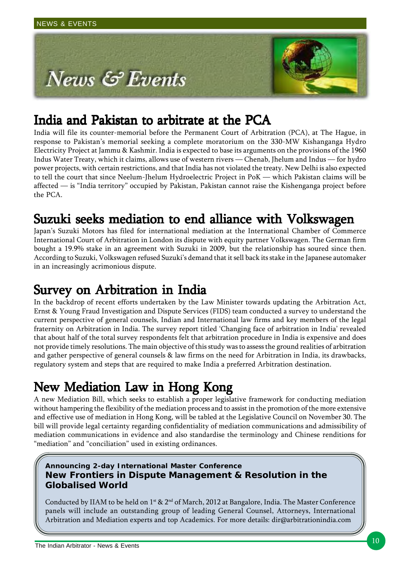

## India and Pakistan to arbitrate at the PCA

India will file its counter-memorial before the Permanent Court of Arbitration (PCA), at The Hague, in response to Pakistan's memorial seeking a complete moratorium on the 330-MW Kishanganga Hydro Electricity Project at Jammu & Kashmir. India is expected to base its arguments on the provisions of the 1960 Indus Water Treaty, which it claims, allows use of western rivers — Chenab, Jhelum and Indus — for hydro power projects, with certain restrictions, and that India has not violated the treaty. New Delhi is also expected to tell the court that since Neelum-Jhelum Hydroelectric Project in PoK — which Pakistan claims will be affected — is "India territory" occupied by Pakistan, Pakistan cannot raise the Kishenganga project before the PCA.

## Suzuki seeks mediation to end alliance with Volkswagen

Japan's Suzuki Motors has filed for international mediation at the International Chamber of Commerce International Court of Arbitration in London its dispute with equity partner Volkswagen. The German firm bought a 19.9% stake in an agreement with Suzuki in 2009, but the relationship has soured since then. According to Suzuki, Volkswagen refused Suzuki's demand that it sell back its stake in the Japanese automaker in an increasingly acrimonious dispute.

## Survey on Arbitration in India

In the backdrop of recent efforts undertaken by the Law Minister towards updating the Arbitration Act, Ernst & Young Fraud Investigation and Dispute Services (FIDS) team conducted a survey to understand the current perspective of general counsels, Indian and International law firms and key members of the legal fraternity on Arbitration in India. The survey report titled 'Changing face of arbitration in India' revealed that about half of the total survey respondents felt that arbitration procedure in India is expensive and does not provide timely resolutions. The main objective of this study was to assess the ground realities of arbitration and gather perspective of general counsels & law firms on the need for Arbitration in India, its drawbacks, regulatory system and steps that are required to make India a preferred Arbitration destination.

# New Mediation Law in Hong Kong

A new Mediation Bill, which seeks to establish a proper legislative framework for conducting mediation without hampering the flexibility of the mediation process and to assist in the promotion of the more extensive and effective use of mediation in Hong Kong, will be tabled at the Legislative Council on November 30. The bill will provide legal certainty regarding confidentiality of mediation communications and admissibility of mediation communications in evidence and also standardise the terminology and Chinese renditions for "mediation" and "conciliation" used in existing ordinances.

### **Announcing 2-day International Master Conference New Frontiers in Dispute Management & Resolution in the Globalised World**

Conducted by IIAM to be held on 1<sup>st</sup> & 2<sup>nd</sup> of March, 2012 at Bangalore, India. The Master Conference panels will include an outstanding group of leading General Counsel, Attorneys, International Arbitration and Mediation experts and top Academics. For more details: dir@arbitrationindia.com